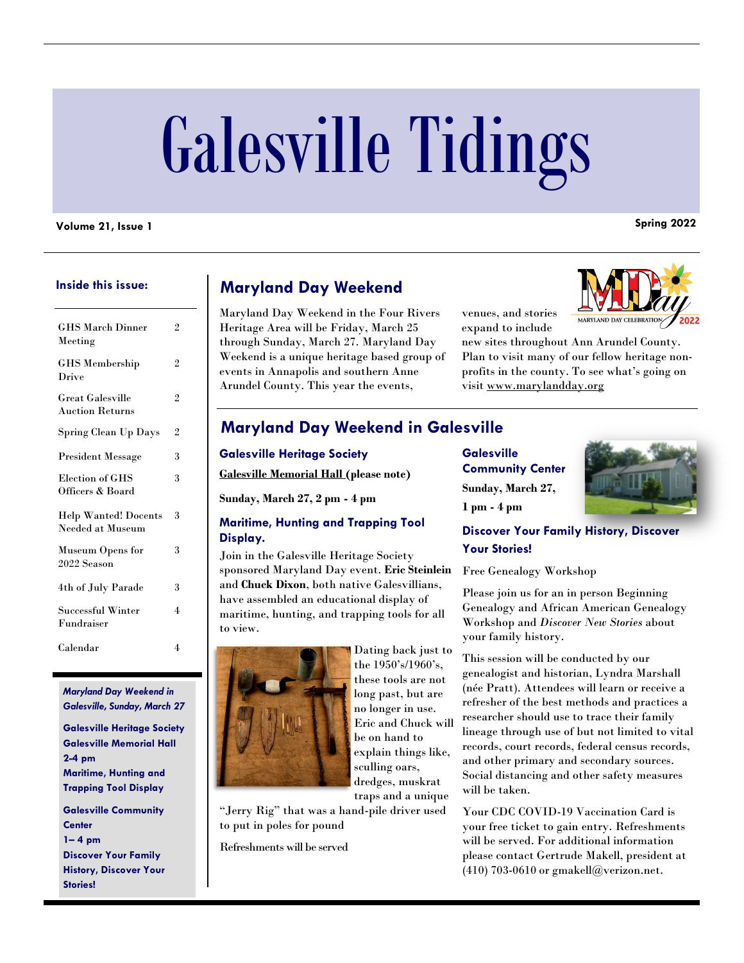# Galesville Tidings

### **Volume 21, Issue 1 Spring 2022**

#### **Inside this issue:**

| <b>GHS March Dinner</b><br>Meeting                | $\overline{2}$ |
|---------------------------------------------------|----------------|
| <b>GHS</b> Membership<br>Drive                    | $\overline{2}$ |
| <b>Great Galesville</b><br><b>Auction Returns</b> | $\overline{2}$ |
| Spring Clean Up Days                              | $\overline{2}$ |
| <b>President Message</b>                          | 3              |
| Election of GHS<br>Officers & Board               | 3              |
| <b>Help Wanted! Docents</b><br>Needed at Museum   | 3              |
| Museum Opens for<br>2022 Season                   | 3              |
| 4th of July Parade                                | 3              |
| Successful Winter<br>Fundraiser                   | 4              |
| Calendar                                          | 4              |

*Maryland Day Weekend in Galesville, Sunday, March 27*

**Galesville Heritage Society Galesville Memorial Hall 2-4 pm Maritime, Hunting and Trapping Tool Display Galesville Community Center 1– 4 pm Discover Your Family** 

**History, Discover Your** 

**Stories!** 

# **Maryland Day Weekend**

Maryland Day Weekend in the Four Rivers Heritage Area will be Friday, March 25 through Sunday, March 27. Maryland Day Weekend is a unique heritage based group of events in Annapolis and southern Anne Arundel County. This year the events,

venues, and stories expand to include



new sites throughout Ann Arundel County. Plan to visit many of our fellow heritage nonprofits in the county. To see what's going on visit [www.marylandday.org](http://www.fourriversheritage.org)

## **Maryland Day Weekend in Galesville**

| <b>Galesville Heritage Society</b>                                                                                                                                                                                                                      |
|---------------------------------------------------------------------------------------------------------------------------------------------------------------------------------------------------------------------------------------------------------|
| <b>Galesville Memorial Hall (please note)</b>                                                                                                                                                                                                           |
| Sunday, March 27, 2 pm - 4 pm                                                                                                                                                                                                                           |
| <b>Maritime, Hunting and Trapping Tool</b><br>Display.                                                                                                                                                                                                  |
| Join in the Galesville Heritage Society<br>sponsored Maryland Day event. Eric Steinlein<br>and <b>Chuck Dixon</b> , both native Galesvillians,<br>have assembled an educational display of<br>maritime, hunting, and trapping tools for all<br>to view. |



Dating back just to the 1950's/1960's, these tools are not long past, but are no longer in use. Eric and Chuck will be on hand to explain things like, sculling oars, dredges, muskrat traps and a unique

"Jerry Rig" that was a hand-pile driver used to put in poles for pound

Refreshments will be served

**Galesville Community Center Sunday, March 27, 1 pm - 4 pm**



**Discover Your Family History, Discover Your Stories!**

Free Genealogy Workshop

Please join us for an in person Beginning Genealogy and African American Genealogy Workshop and *Discover New Stories* about your family history.

This session will be conducted by our genealogist and historian, Lyndra Marshall (née Pratt). Attendees will learn or receive a refresher of the best methods and practices a researcher should use to trace their family lineage through use of but not limited to vital records, court records, federal census records, and other primary and secondary sources. Social distancing and other safety measures will be taken.

Your CDC COVID-19 Vaccination Card is your free ticket to gain entry. Refreshments will be served. For additional information please contact Gertrude Makell, president at (410) 703-0610 or [gmakell@verizon.net.](mailto:gmakell@verizon.net)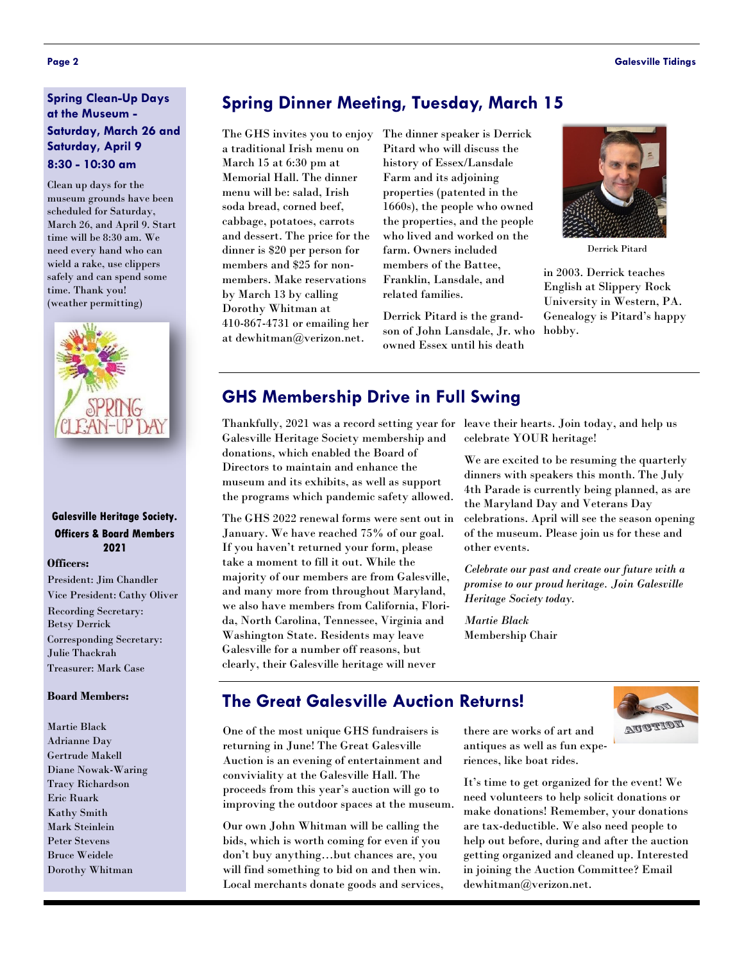#### **Spring Clean-Up Days at the Museum - Saturday, March 26 and Saturday, April 9 8:30 - 10:30 am**

Clean up days for the museum grounds have been scheduled for Saturday, March 26, and April 9. Start time will be 8:30 am. We need every hand who can wield a rake, use clippers safely and can spend some time. Thank you! (weather permitting)



#### **Galesville Heritage Society. Officers & Board Members 2021**

#### **Officers:**

President: Jim Chandler Vice President: Cathy Oliver Recording Secretary: Betsy Derrick Corresponding Secretary: Julie Thackrah Treasurer: Mark Case

#### **Board Members:**

Martie Black Adrianne Day Gertrude Makell Diane Nowak-Waring Tracy Richardson Eric Ruark Kathy Smith Mark Steinlein Peter Stevens Bruce Weidele Dorothy Whitman

# **Spring Dinner Meeting, Tuesday, March 15**

The GHS invites you to enjoy a traditional Irish menu on March 15 at 6:30 pm at Memorial Hall. The dinner menu will be: salad, Irish soda bread, corned beef, cabbage, potatoes, carrots and dessert. The price for the dinner is \$20 per person for members and \$25 for nonmembers. Make reservations by March 13 by calling Dorothy Whitman at 410-867-4731 or emailing her at [dewhitman@verizon.net.](mailto:dewhitman@verizon.net) 

The dinner speaker is Derrick Pitard who will discuss the history of Essex/Lansdale Farm and its adjoining properties (patented in the 1660s), the people who owned the properties, and the people who lived and worked on the farm. Owners included members of the Battee, Franklin, Lansdale, and related families.

Derrick Pitard is the grandson of John Lansdale, Jr. who owned Essex until his death



Derrick Pitard

in 2003. Derrick teaches English at Slippery Rock University in Western, PA. Genealogy is Pitard's happy hobby.

# **GHS Membership Drive in Full Swing**

Thankfully, 2021 was a record setting year for leave their hearts. Join today, and help us Galesville Heritage Society membership and donations, which enabled the Board of Directors to maintain and enhance the museum and its exhibits, as well as support the programs which pandemic safety allowed.

The GHS 2022 renewal forms were sent out in January. We have reached 75% of our goal. If you haven't returned your form, please take a moment to fill it out. While the majority of our members are from Galesville, and many more from throughout Maryland, we also have members from California, Florida, North Carolina, Tennessee, Virginia and Washington State. Residents may leave Galesville for a number off reasons, but clearly, their Galesville heritage will never

celebrate YOUR heritage!

We are excited to be resuming the quarterly dinners with speakers this month. The July 4th Parade is currently being planned, as are the Maryland Day and Veterans Day celebrations. April will see the season opening of the museum. Please join us for these and other events.

*Celebrate our past and create our future with a promise to our proud heritage. Join Galesville Heritage Society today.* 

*Martie Black* Membership Chair



# **The Great Galesville Auction Returns!**

One of the most unique GHS fundraisers is returning in June! The Great Galesville Auction is an evening of entertainment and conviviality at the Galesville Hall. The proceeds from this year's auction will go to improving the outdoor spaces at the museum.

Our own John Whitman will be calling the bids, which is worth coming for even if you don't buy anything…but chances are, you will find something to bid on and then win. Local merchants donate goods and services, there are works of art and antiques as well as fun experiences, like boat rides.

It's time to get organized for the event! We need volunteers to help solicit donations or make donations! Remember, your donations are tax-deductible. We also need people to help out before, during and after the auction getting organized and cleaned up. Interested in joining the Auction Committee? Email dewhitman@verizon.net.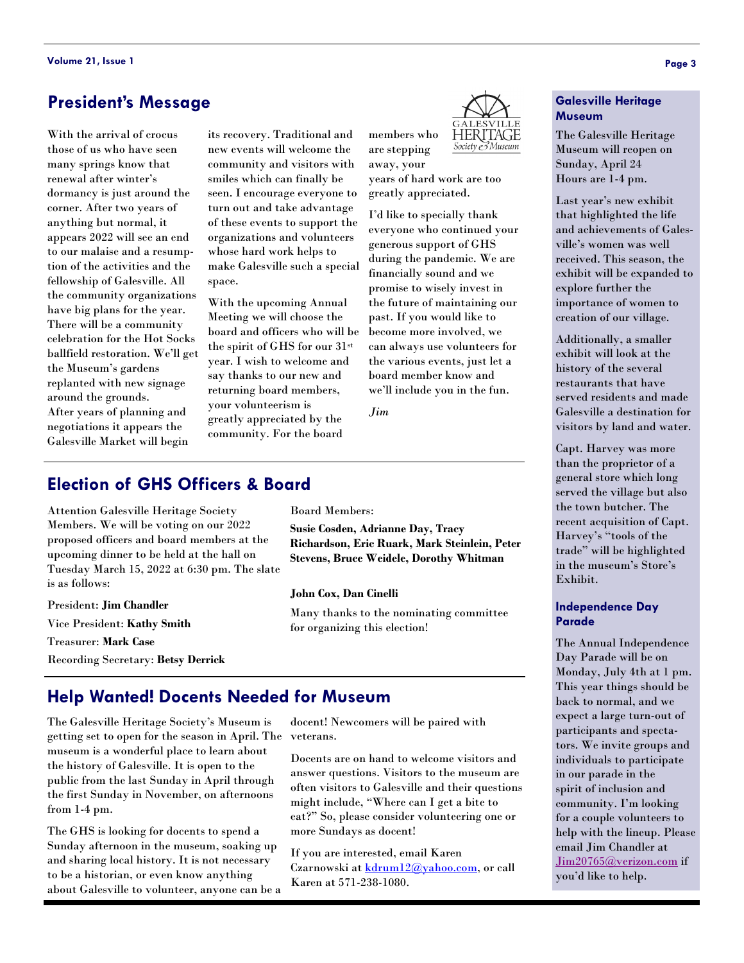# **President's Message**

With the arrival of crocus those of us who have seen many springs know that renewal after winter's dormancy is just around the corner. After two years of anything but normal, it appears 2022 will see an end to our malaise and a resumption of the activities and the fellowship of Galesville. All the community organizations have big plans for the year. There will be a community celebration for the Hot Socks ballfield restoration. We'll get the Museum's gardens replanted with new signage around the grounds. After years of planning and negotiations it appears the Galesville Market will begin

its recovery. Traditional and new events will welcome the community and visitors with smiles which can finally be seen. I encourage everyone to turn out and take advantage of these events to support the organizations and volunteers whose hard work helps to make Galesville such a special space.

With the upcoming Annual Meeting we will choose the board and officers who will be the spirit of GHS for our 31st year. I wish to welcome and say thanks to our new and returning board members, your volunteerism is greatly appreciated by the community. For the board

HERITAGE Society & Museum

away, your years of hard work are too greatly appreciated.

members who are stepping

I'd like to specially thank everyone who continued your generous support of GHS during the pandemic. We are financially sound and we promise to wisely invest in the future of maintaining our past. If you would like to become more involved, we can always use volunteers for the various events, just let a board member know and we'll include you in the fun.

*Jim*

# **Election of GHS Officers & Board**

Attention Galesville Heritage Society Members. We will be voting on our 2022 proposed officers and board members at the upcoming dinner to be held at the hall on Tuesday March 15, 2022 at 6:30 pm. The slate is as follows:

President: **Jim Chandler** Vice President: **Kathy Smith** Treasurer: **Mark Case** Recording Secretary: **Betsy Derrick** Board Members:

**Susie Cosden, Adrianne Day, Tracy Richardson, Eric Ruark, Mark Steinlein, Peter Stevens, Bruce Weidele, Dorothy Whitman**

**John Cox, Dan Cinelli**

Many thanks to the nominating committee for organizing this election!

# **Help Wanted! Docents Needed for Museum**

The Galesville Heritage Society's Museum is getting set to open for the season in April. The veterans. museum is a wonderful place to learn about the history of Galesville. It is open to the public from the last Sunday in April through the first Sunday in November, on afternoons from 1-4 pm.

The GHS is looking for docents to spend a Sunday afternoon in the museum, soaking up and sharing local history. It is not necessary to be a historian, or even know anything about Galesville to volunteer, anyone can be a docent! Newcomers will be paired with

Docents are on hand to welcome visitors and answer questions. Visitors to the museum are often visitors to Galesville and their questions might include, "Where can I get a bite to eat?" So, please consider volunteering one or more Sundays as docent!

If you are interested, email Karen Czarnowski at [kdrum12@yahoo.com,](mailto:kdrum12@yahoo.com) or call Karen at 571-238-1080.

#### **Galesville Heritage Museum**

The Galesville Heritage Museum will reopen on Sunday, April 24 Hours are 1-4 pm.

Last year's new exhibit that highlighted the life and achievements of Galesville's women was well received. This season, the exhibit will be expanded to explore further the importance of women to creation of our village.

Additionally, a smaller exhibit will look at the history of the several restaurants that have served residents and made Galesville a destination for visitors by land and water.

Capt. Harvey was more than the proprietor of a general store which long served the village but also the town butcher. The recent acquisition of Capt. Harvey's "tools of the trade" will be highlighted in the museum's Store's Exhibit.

#### **Independence Day Parade**

The Annual Independence Day Parade will be on Monday, July 4th at 1 pm. This year things should be back to normal, and we expect a large turn-out of participants and spectators. We invite groups and individuals to participate in our parade in the spirit of inclusion and community. I'm looking for a couple volunteers to help with the lineup. Please email Jim Chandler at [Jim20765@verizon.com](mailto:Jim20765@verizon.com) if you'd like to help.